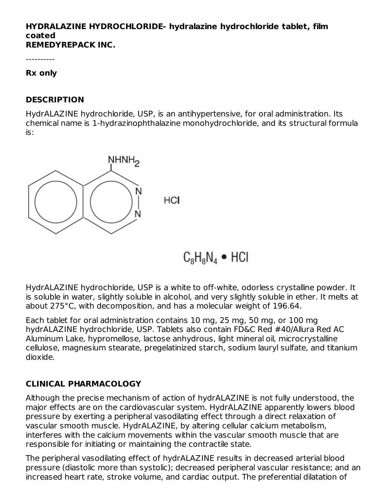#### **HYDRALAZINE HYDROCHLORIDE- hydralazine hydrochloride tablet, film coated REMEDYREPACK INC.**

----------

#### **Rx only**

#### **DESCRIPTION**

HydrALAZINE hydrochloride, USP, is an antihypertensive, for oral administration. Its chemical name is 1-hydrazinophthalazine monohydrochloride, and its structural formula is:



HCI

 $C_8H_8N_4$  • HCI

HydrALAZINE hydrochloride, USP is a white to off-white, odorless crystalline powder. It is soluble in water, slightly soluble in alcohol, and very slightly soluble in ether. It melts at about 275°C, with decomposition, and has a molecular weight of 196.64.

Each tablet for oral administration contains 10 mg, 25 mg, 50 mg, or 100 mg hydrALAZINE hydrochloride, USP. Tablets also contain FD&C Red #40/Allura Red AC Aluminum Lake, hypromellose, lactose anhydrous, light mineral oil, microcrystalline cellulose, magnesium stearate, pregelatinized starch, sodium lauryl sulfate, and titanium dioxide.

### **CLINICAL PHARMACOLOGY**

Although the precise mechanism of action of hydrALAZINE is not fully understood, the major effects are on the cardiovascular system. HydrALAZINE apparently lowers blood pressure by exerting a peripheral vasodilating effect through a direct relaxation of vascular smooth muscle. HydrALAZINE, by altering cellular calcium metabolism, interferes with the calcium movements within the vascular smooth muscle that are responsible for initiating or maintaining the contractile state.

The peripheral vasodilating effect of hydrALAZINE results in decreased arterial blood pressure (diastolic more than systolic); decreased peripheral vascular resistance; and an increased heart rate, stroke volume, and cardiac output. The preferential dilatation of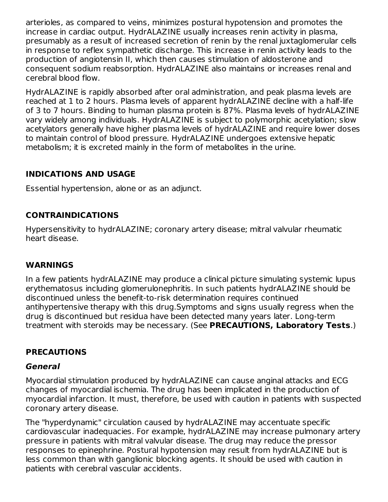arterioles, as compared to veins, minimizes postural hypotension and promotes the increase in cardiac output. HydrALAZINE usually increases renin activity in plasma, presumably as a result of increased secretion of renin by the renal juxtaglomerular cells in response to reflex sympathetic discharge. This increase in renin activity leads to the production of angiotensin II, which then causes stimulation of aldosterone and consequent sodium reabsorption. HydrALAZINE also maintains or increases renal and cerebral blood flow.

HydrALAZINE is rapidly absorbed after oral administration, and peak plasma levels are reached at 1 to 2 hours. Plasma levels of apparent hydrALAZINE decline with a half-life of 3 to 7 hours. Binding to human plasma protein is 87%. Plasma levels of hydrALAZINE vary widely among individuals. HydrALAZINE is subject to polymorphic acetylation; slow acetylators generally have higher plasma levels of hydrALAZINE and require lower doses to maintain control of blood pressure. HydrALAZINE undergoes extensive hepatic metabolism; it is excreted mainly in the form of metabolites in the urine.

### **INDICATIONS AND USAGE**

Essential hypertension, alone or as an adjunct.

# **CONTRAINDICATIONS**

Hypersensitivity to hydrALAZINE; coronary artery disease; mitral valvular rheumatic heart disease.

### **WARNINGS**

In a few patients hydrALAZINE may produce a clinical picture simulating systemic lupus erythematosus including glomerulonephritis. In such patients hydrALAZINE should be discontinued unless the benefit-to-risk determination requires continued antihypertensive therapy with this drug.Symptoms and signs usually regress when the drug is discontinued but residua have been detected many years later. Long-term treatment with steroids may be necessary. (See **PRECAUTIONS, Laboratory Tests**.)

### **PRECAUTIONS**

### **General**

Myocardial stimulation produced by hydrALAZINE can cause anginal attacks and ECG changes of myocardial ischemia. The drug has been implicated in the production of myocardial infarction. It must, therefore, be used with caution in patients with suspected coronary artery disease.

The "hyperdynamic" circulation caused by hydrALAZINE may accentuate specific cardiovascular inadequacies. For example, hydrALAZINE may increase pulmonary artery pressure in patients with mitral valvular disease. The drug may reduce the pressor responses to epinephrine. Postural hypotension may result from hydrALAZINE but is less common than with ganglionic blocking agents. It should be used with caution in patients with cerebral vascular accidents.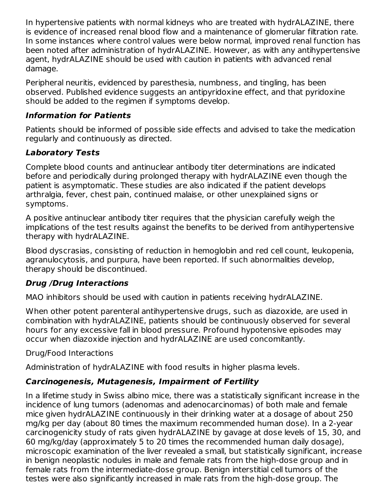In hypertensive patients with normal kidneys who are treated with hydrALAZINE, there is evidence of increased renal blood flow and a maintenance of glomerular filtration rate. In some instances where control values were below normal, improved renal function has been noted after administration of hydrALAZINE. However, as with any antihypertensive agent, hydrALAZINE should be used with caution in patients with advanced renal damage.

Peripheral neuritis, evidenced by paresthesia, numbness, and tingling, has been observed. Published evidence suggests an antipyridoxine effect, and that pyridoxine should be added to the regimen if symptoms develop.

## **Information for Patients**

Patients should be informed of possible side effects and advised to take the medication regularly and continuously as directed.

# **Laboratory Tests**

Complete blood counts and antinuclear antibody titer determinations are indicated before and periodically during prolonged therapy with hydrALAZINE even though the patient is asymptomatic. These studies are also indicated if the patient develops arthralgia, fever, chest pain, continued malaise, or other unexplained signs or symptoms.

A positive antinuclear antibody titer requires that the physician carefully weigh the implications of the test results against the benefits to be derived from antihypertensive therapy with hydrALAZINE.

Blood dyscrasias, consisting of reduction in hemoglobin and red cell count, leukopenia, agranulocytosis, and purpura, have been reported. If such abnormalities develop, therapy should be discontinued.

# **Drug /Drug Interactions**

MAO inhibitors should be used with caution in patients receiving hydrALAZINE.

When other potent parenteral antihypertensive drugs, such as diazoxide, are used in combination with hydrALAZINE, patients should be continuously observed for several hours for any excessive fall in blood pressure. Profound hypotensive episodes may occur when diazoxide injection and hydrALAZINE are used concomitantly.

Drug/Food Interactions

Administration of hydrALAZINE with food results in higher plasma levels.

# **Carcinogenesis, Mutagenesis, Impairment of Fertility**

In a lifetime study in Swiss albino mice, there was a statistically significant increase in the incidence of lung tumors (adenomas and adenocarcinomas) of both male and female mice given hydrALAZINE continuously in their drinking water at a dosage of about 250 mg/kg per day (about 80 times the maximum recommended human dose). In a 2-year carcinogenicity study of rats given hydrALAZINE by gavage at dose levels of 15, 30, and 60 mg/kg/day (approximately 5 to 20 times the recommended human daily dosage), microscopic examination of the liver revealed a small, but statistically significant, increase in benign neoplastic nodules in male and female rats from the high-dose group and in female rats from the intermediate-dose group. Benign interstitial cell tumors of the testes were also significantly increased in male rats from the high-dose group. The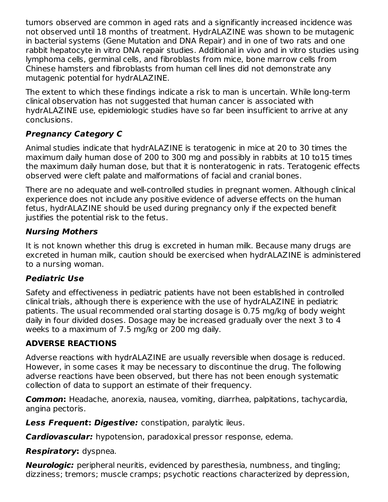tumors observed are common in aged rats and a significantly increased incidence was not observed until 18 months of treatment. HydrALAZINE was shown to be mutagenic in bacterial systems (Gene Mutation and DNA Repair) and in one of two rats and one rabbit hepatocyte in vitro DNA repair studies. Additional in vivo and in vitro studies using lymphoma cells, germinal cells, and fibroblasts from mice, bone marrow cells from Chinese hamsters and fibroblasts from human cell lines did not demonstrate any mutagenic potential for hydrALAZINE.

The extent to which these findings indicate a risk to man is uncertain. While long-term clinical observation has not suggested that human cancer is associated with hydrALAZINE use, epidemiologic studies have so far been insufficient to arrive at any conclusions.

# **Pregnancy Category C**

Animal studies indicate that hydrALAZINE is teratogenic in mice at 20 to 30 times the maximum daily human dose of 200 to 300 mg and possibly in rabbits at 10 to15 times the maximum daily human dose, but that it is nonteratogenic in rats. Teratogenic effects observed were cleft palate and malformations of facial and cranial bones.

There are no adequate and well-controlled studies in pregnant women. Although clinical experience does not include any positive evidence of adverse effects on the human fetus, hydrALAZINE should be used during pregnancy only if the expected benefit justifies the potential risk to the fetus.

### **Nursing Mothers**

It is not known whether this drug is excreted in human milk. Because many drugs are excreted in human milk, caution should be exercised when hydrALAZINE is administered to a nursing woman.

### **Pediatric Use**

Safety and effectiveness in pediatric patients have not been established in controlled clinical trials, although there is experience with the use of hydrALAZINE in pediatric patients. The usual recommended oral starting dosage is 0.75 mg/kg of body weight daily in four divided doses. Dosage may be increased gradually over the next 3 to 4 weeks to a maximum of 7.5 mg/kg or 200 mg daily.

### **ADVERSE REACTIONS**

Adverse reactions with hydrALAZINE are usually reversible when dosage is reduced. However, in some cases it may be necessary to discontinue the drug. The following adverse reactions have been observed, but there has not been enough systematic collection of data to support an estimate of their frequency.

**Common:** Headache, anorexia, nausea, vomiting, diarrhea, palpitations, tachycardia, angina pectoris.

**Less Frequent: Digestive:** constipation, paralytic ileus.

**Cardiovascular:** hypotension, paradoxical pressor response, edema.

**Respiratory:** dyspnea.

**Neurologic:** peripheral neuritis, evidenced by paresthesia, numbness, and tingling; dizziness; tremors; muscle cramps; psychotic reactions characterized by depression,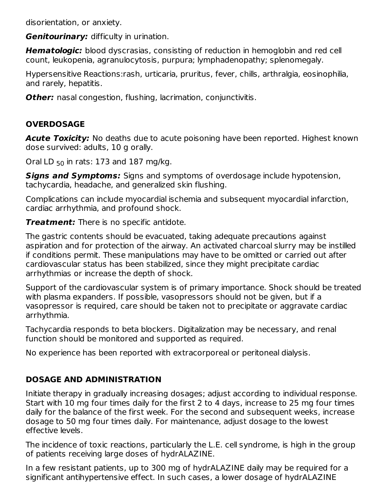disorientation, or anxiety.

**Genitourinary:** difficulty in urination.

**Hematologic:** blood dyscrasias, consisting of reduction in hemoglobin and red cell count, leukopenia, agranulocytosis, purpura; lymphadenopathy; splenomegaly.

Hypersensitive Reactions:rash, urticaria, pruritus, fever, chills, arthralgia, eosinophilia, and rarely, hepatitis.

**Other:** nasal congestion, flushing, lacrimation, conjunctivitis.

# **OVERDOSAGE**

**Acute Toxicity:** No deaths due to acute poisoning have been reported. Highest known dose survived: adults, 10 g orally.

Oral LD  $_{50}$  in rats: 173 and 187 mg/kg.

**Signs and Symptoms:** Signs and symptoms of overdosage include hypotension, tachycardia, headache, and generalized skin flushing.

Complications can include myocardial ischemia and subsequent myocardial infarction, cardiac arrhythmia, and profound shock.

**Treatment:** There is no specific antidote.

The gastric contents should be evacuated, taking adequate precautions against aspiration and for protection of the airway. An activated charcoal slurry may be instilled if conditions permit. These manipulations may have to be omitted or carried out after cardiovascular status has been stabilized, since they might precipitate cardiac arrhythmias or increase the depth of shock.

Support of the cardiovascular system is of primary importance. Shock should be treated with plasma expanders. If possible, vasopressors should not be given, but if a vasopressor is required, care should be taken not to precipitate or aggravate cardiac arrhythmia.

Tachycardia responds to beta blockers. Digitalization may be necessary, and renal function should be monitored and supported as required.

No experience has been reported with extracorporeal or peritoneal dialysis.

# **DOSAGE AND ADMINISTRATION**

Initiate therapy in gradually increasing dosages; adjust according to individual response. Start with 10 mg four times daily for the first 2 to 4 days, increase to 25 mg four times daily for the balance of the first week. For the second and subsequent weeks, increase dosage to 50 mg four times daily. For maintenance, adjust dosage to the lowest effective levels.

The incidence of toxic reactions, particularly the L.E. cell syndrome, is high in the group of patients receiving large doses of hydrALAZINE.

In a few resistant patients, up to 300 mg of hydrALAZINE daily may be required for a significant antihypertensive effect. In such cases, a lower dosage of hydrALAZINE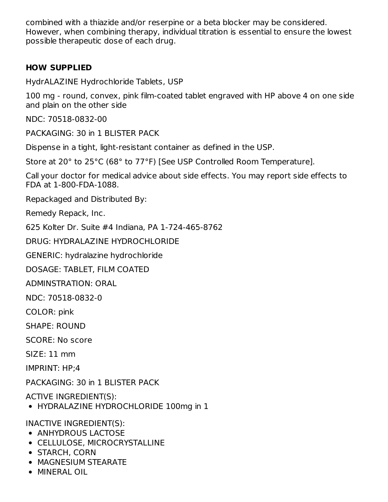combined with a thiazide and/or reserpine or a beta blocker may be considered. However, when combining therapy, individual titration is essential to ensure the lowest possible therapeutic dose of each drug.

### **HOW SUPPLIED**

HydrALAZINE Hydrochloride Tablets, USP

100 mg - round, convex, pink film-coated tablet engraved with HP above 4 on one side and plain on the other side

NDC: 70518-0832-00

PACKAGING: 30 in 1 BLISTER PACK

Dispense in a tight, light-resistant container as defined in the USP.

Store at 20° to 25°C (68° to 77°F) [See USP Controlled Room Temperature].

Call your doctor for medical advice about side effects. You may report side effects to FDA at 1-800-FDA-1088.

Repackaged and Distributed By:

Remedy Repack, Inc.

625 Kolter Dr. Suite #4 Indiana, PA 1-724-465-8762

DRUG: HYDRALAZINE HYDROCHLORIDE

GENERIC: hydralazine hydrochloride

DOSAGE: TABLET, FILM COATED

ADMINSTRATION: ORAL

NDC: 70518-0832-0

COLOR: pink

SHAPE: ROUND

SCORE: No score

SIZE: 11 mm

IMPRINT: HP;4

PACKAGING: 30 in 1 BLISTER PACK

ACTIVE INGREDIENT(S):

HYDRALAZINE HYDROCHLORIDE 100mg in 1

INACTIVE INGREDIENT(S):

- **ANHYDROUS LACTOSE**
- CELLULOSE, MICROCRYSTALLINE
- STARCH, CORN
- MAGNESIUM STEARATE
- **MINERAL OIL**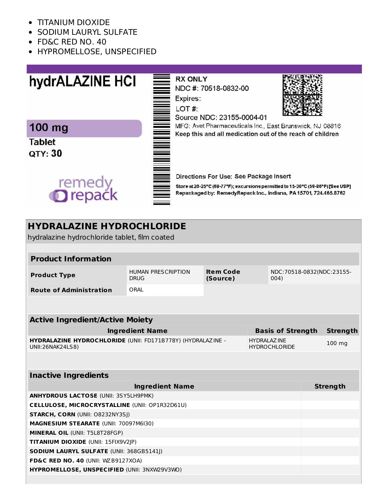- TITANIUM DIOXIDE
- **SODIUM LAURYL SULFATE**
- FD&C RED NO. 40
- HYPROMELLOSE, UNSPECIFIED

| hydrALAZINE HCI           | <b>RX ONLY</b><br>NDC #: 70518-0832-00                                                                                    |
|---------------------------|---------------------------------------------------------------------------------------------------------------------------|
|                           | Expires:                                                                                                                  |
|                           | LOT#:                                                                                                                     |
|                           | Source NDC: 23155-0004-01                                                                                                 |
| $100$ mg                  | MFG: Avet Pharmaceuticals Inc., East Brunswick, NJ 08816                                                                  |
| <b>Tablet</b><br>QTY: 30  | Keep this and all medication out of the reach of children                                                                 |
| remedy<br><b>O</b> repack | Directions For Use: See Package Insert<br>Store at 20-25°C (68-77°F); excursions permitted to 15-30°C (59-86°F) [See USP] |
|                           | Repackaged by: RemedyRepack Inc., Indiana, PA 15701, 724.465.8762                                                         |

| <b>HYDRALAZINE HYDROCHLORIDE</b><br>hydralazine hydrochloride tablet, film coated                                              |                                                                                  |  |                           |                          |  |                 |  |
|--------------------------------------------------------------------------------------------------------------------------------|----------------------------------------------------------------------------------|--|---------------------------|--------------------------|--|-----------------|--|
|                                                                                                                                |                                                                                  |  |                           |                          |  |                 |  |
| <b>Product Information</b>                                                                                                     |                                                                                  |  |                           |                          |  |                 |  |
| <b>Product Type</b>                                                                                                            | <b>Item Code</b><br><b>HUMAN PRESCRIPTION</b><br><b>DRUG</b><br>(Source)<br>004) |  | NDC:70518-0832(NDC:23155- |                          |  |                 |  |
| <b>Route of Administration</b>                                                                                                 | ORAL                                                                             |  |                           |                          |  |                 |  |
|                                                                                                                                |                                                                                  |  |                           |                          |  |                 |  |
| <b>Active Ingredient/Active Moiety</b>                                                                                         |                                                                                  |  |                           |                          |  |                 |  |
|                                                                                                                                | <b>Ingredient Name</b>                                                           |  |                           | <b>Basis of Strength</b> |  | <b>Strength</b> |  |
| HYDRALAZINE HYDROCHLORIDE (UNII: FD171B778Y) (HYDRALAZINE -<br><b>HYDRALAZ INE</b><br>UNII:26NAK24LS8)<br><b>HYDROCHLORIDE</b> |                                                                                  |  |                           |                          |  | 100 mg          |  |
|                                                                                                                                |                                                                                  |  |                           |                          |  |                 |  |
| <b>Inactive Ingredients</b>                                                                                                    |                                                                                  |  |                           |                          |  |                 |  |
| <b>Ingredient Name</b>                                                                                                         |                                                                                  |  |                           |                          |  | <b>Strength</b> |  |
| <b>ANHYDROUS LACTOSE (UNII: 3SY5LH9PMK)</b>                                                                                    |                                                                                  |  |                           |                          |  |                 |  |
| <b>CELLULOSE, MICROCRYSTALLINE (UNII: OP1R32D61U)</b>                                                                          |                                                                                  |  |                           |                          |  |                 |  |
| <b>STARCH, CORN (UNII: O8232NY3SJ)</b>                                                                                         |                                                                                  |  |                           |                          |  |                 |  |
| MAGNESIUM STEARATE (UNII: 70097M6I30)                                                                                          |                                                                                  |  |                           |                          |  |                 |  |
| <b>MINERAL OIL (UNII: T5L8T28FGP)</b>                                                                                          |                                                                                  |  |                           |                          |  |                 |  |
| <b>TITANIUM DIOXIDE (UNII: 15FIX9V2IP)</b>                                                                                     |                                                                                  |  |                           |                          |  |                 |  |
| <b>SODIUM LAURYL SULFATE (UNII: 368GB5141J)</b>                                                                                |                                                                                  |  |                           |                          |  |                 |  |
| FD&C RED NO. 40 (UNII: WZB9127XOA)                                                                                             |                                                                                  |  |                           |                          |  |                 |  |
| HYPROMELLOSE, UNSPECIFIED (UNII: 3NXW29V3WO)                                                                                   |                                                                                  |  |                           |                          |  |                 |  |
|                                                                                                                                |                                                                                  |  |                           |                          |  |                 |  |